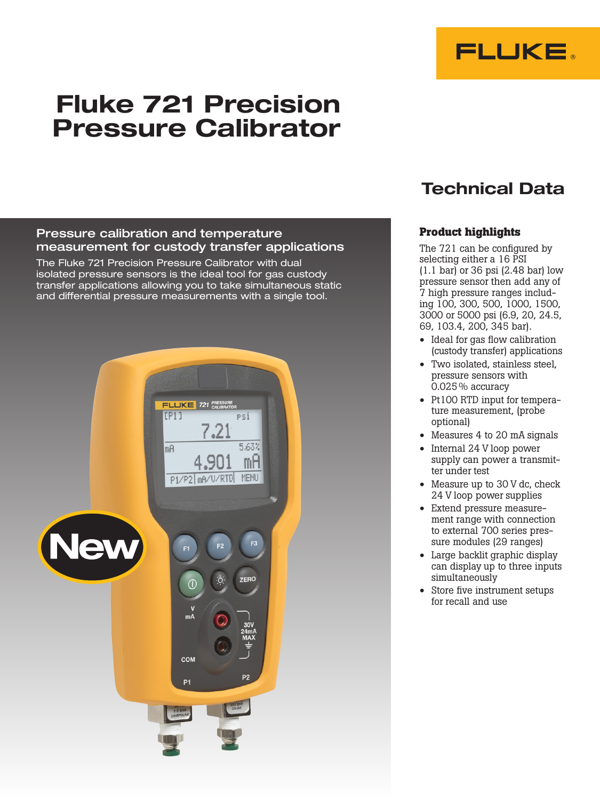

# Fluke 721 Precision Pressure Calibrator

### Pressure calibration and temperature measurement for custody transfer applications

The Fluke 721 Precision Pressure Calibrator with dual isolated pressure sensors is the ideal tool for gas custody transfer applications allowing you to take simultaneous static and differential pressure measurements with a single tool.



# Technical Data

## **Product highlights**

The 721 can be configured by selecting either a 16 PSI (1.1 bar) or 36 psi (2.48 bar) low pressure sensor then add any of 7 high pressure ranges including 100, 300, 500, 1000, 1500, 3000 or 5000 psi (6.9, 20, 24.5, 69, 103.4, 200, 345 bar).

- Ideal for gas flow calibration (custody transfer) applications
- Two isolated, stainless steel, pressure sensors with  $0.025\%$  accuracy
- Pt100 RTD input for temperature measurement, (probe optional)
- Measures 4 to 20 mA signals
- Internal 24 V loop power supply can power a transmitter under test
- Measure up to 30 V dc, check 24 V loop power supplies
- Extend pressure measurement range with connection to external 700 series pressure modules (29 ranges)
- Large backlit graphic display can display up to three inputs simultaneously
- Store five instrument setups for recall and use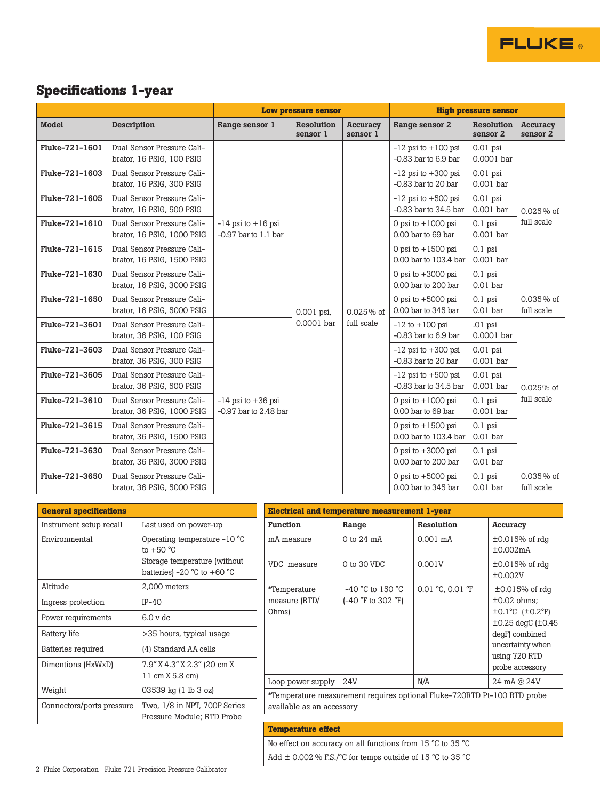

|                |                                                          | <b>Low pressure sensor</b>                         |                          |                             | <b>High pressure sensor</b>                          |                           |                            |
|----------------|----------------------------------------------------------|----------------------------------------------------|--------------------------|-----------------------------|------------------------------------------------------|---------------------------|----------------------------|
| Model          | <b>Description</b>                                       | Range sensor 1                                     | Resolution<br>sensor 1   | <b>Accuracy</b><br>sensor 1 | Range sensor 2                                       | Resolution<br>sensor 2    | Accuracy<br>sensor 2       |
| Fluke-721-1601 | Dual Sensor Pressure Cali-<br>brator, 16 PSIG, 100 PSIG  |                                                    |                          |                             | $-12$ psi to $+100$ psi<br>$-0.83$ bar to $6.9$ bar  | $0.01$ psi<br>0.0001 bar  |                            |
| Fluke-721-1603 | Dual Sensor Pressure Cali-<br>brator, 16 PSIG, 300 PSIG  |                                                    |                          |                             | $-12$ psi to $+300$ psi<br>$-0.83$ bar to 20 bar     | $0.01$ psi<br>$0.001$ bar |                            |
| Fluke-721-1605 | Dual Sensor Pressure Cali-<br>brator, 16 PSIG, 500 PSIG  |                                                    | 0.001 psi,<br>0.0001 bar | $0.025\%$ of<br>full scale  | $-12$ psi to $+500$ psi<br>$-0.83$ bar to $34.5$ bar | $0.01$ psi<br>$0.001$ bar | $0.025\%$ of<br>full scale |
| Fluke-721-1610 | Dual Sensor Pressure Cali-<br>brator, 16 PSIG, 1000 PSIG | $-14$ psi to $+16$ psi<br>$-0.97$ bar to $1.1$ bar |                          |                             | 0 psi to $+1000$ psi<br>0.00 bar to 69 bar           | $0.1$ psi<br>$0.001$ bar  |                            |
| Fluke-721-1615 | Dual Sensor Pressure Cali-<br>brator, 16 PSIG, 1500 PSIG |                                                    |                          |                             | 0 psi to $+1500$ psi<br>0.00 bar to 103.4 bar        | $0.1$ psi<br>0.001 bar    |                            |
| Fluke-721-1630 | Dual Sensor Pressure Cali-<br>brator, 16 PSIG, 3000 PSIG |                                                    |                          |                             | 0 psi to $+3000$ psi<br>0.00 bar to 200 bar          | $0.1$ psi<br>$0.01$ bar   |                            |
| Fluke-721-1650 | Dual Sensor Pressure Cali-<br>brator, 16 PSIG, 5000 PSIG |                                                    |                          |                             | 0 psi to $+5000$ psi<br>0.00 bar to 345 bar          | $0.1$ psi<br>$0.01$ bar   | $0.035\%$ of<br>full scale |
| Fluke-721-3601 | Dual Sensor Pressure Cali-<br>brator, 36 PSIG, 100 PSIG  |                                                    |                          |                             | $-12$ to $+100$ psi<br>$-0.83$ bar to $6.9$ bar      | $.01$ psi<br>0.0001 bar   | $0.025%$ of<br>full scale  |
| Fluke-721-3603 | Dual Sensor Pressure Cali-<br>brator, 36 PSIG, 300 PSIG  |                                                    |                          |                             | $-12$ psi to $+300$ psi<br>$-0.83$ bar to 20 bar     | $0.01$ psi<br>0.001 bar   |                            |
| Fluke-721-3605 | Dual Sensor Pressure Cali-<br>brator, 36 PSIG, 500 PSIG  | $-14$ psi to $+36$ psi<br>$-0.97$ bar to 2.48 bar  |                          |                             | $-12$ psi to $+500$ psi<br>$-0.83$ bar to $34.5$ bar | $0.01$ psi<br>0.001 bar   |                            |
| Fluke-721-3610 | Dual Sensor Pressure Cali-<br>brator, 36 PSIG, 1000 PSIG |                                                    |                          |                             | 0 psi to $+1000$ psi<br>0.00 bar to 69 bar           | $0.1$ psi<br>$0.001$ bar  |                            |
| Fluke-721-3615 | Dual Sensor Pressure Cali-<br>brator, 36 PSIG, 1500 PSIG |                                                    |                          |                             | 0 psi to $+1500$ psi<br>0.00 bar to 103.4 bar        | $0.1$ psi<br>$0.01$ bar   |                            |
| Fluke-721-3630 | Dual Sensor Pressure Cali-<br>brator, 36 PSIG, 3000 PSIG |                                                    |                          |                             | 0 psi to $+3000$ psi<br>0.00 bar to 200 bar          | $0.1$ psi<br>$0.01$ bar   |                            |
| Fluke-721-3650 | Dual Sensor Pressure Cali-<br>brator, 36 PSIG, 5000 PSIG |                                                    |                          |                             | 0 psi to $+5000$ psi<br>0.00 bar to 345 bar          | $0.1$ psi<br>$0.01$ bar   | $0.035\%$ of<br>full scale |

| <b>General specifications</b> |                                                                                                                                |  |
|-------------------------------|--------------------------------------------------------------------------------------------------------------------------------|--|
| Instrument setup recall       | Last used on power-up                                                                                                          |  |
| Environmental                 | Operating temperature $-10$ °C<br>to $+50 °C$<br>Storage temperature (without<br>batteries) -20 $\degree$ C to +60 $\degree$ C |  |
| Altitude                      | 2,000 meters                                                                                                                   |  |
| Ingress protection            | $IP-40$                                                                                                                        |  |
| Power requirements            | 6.0 v dc                                                                                                                       |  |
| <b>Battery life</b>           | >35 hours, typical usage                                                                                                       |  |
| Batteries required            | (4) Standard AA cells                                                                                                          |  |
| Dimentions (HxWxD)            | 7.9" X 4.3" X 2.3" (20 cm X<br>11 cm X 5.8 cm)                                                                                 |  |
| Weight                        | 03539 kg (1 lb 3 oz)                                                                                                           |  |
| Connectors/ports pressure     | Two, 1/8 in NPT, 700P Series<br>Pressure Module; RTD Probe                                                                     |  |

| <b>Electrical and temperature measurement 1-year</b>                                                  |                                               |                                       |                                                                                                                                                                                                    |  |  |  |
|-------------------------------------------------------------------------------------------------------|-----------------------------------------------|---------------------------------------|----------------------------------------------------------------------------------------------------------------------------------------------------------------------------------------------------|--|--|--|
| <b>Function</b>                                                                                       | Range                                         | Resolution                            | Accuracy                                                                                                                                                                                           |  |  |  |
| mA measure                                                                                            | $0$ to $24 \text{ mA}$                        | $0.001 \text{ mA}$                    | $\pm 0.015\%$ of rdg<br>±0.002mA                                                                                                                                                                   |  |  |  |
| VDC measure                                                                                           | 0 to 30 VDC                                   | 0.001V                                | $\pm 0.015\%$ of rdg<br>±0.002V                                                                                                                                                                    |  |  |  |
| *Temperature<br>measure (RTD/<br>Ohms)                                                                | $-40$ °C to 150 °C<br>$(-40 °F)$ to 302 $°F)$ | $0.01 \text{ °C}$ , $0.01 \text{ °F}$ | $\pm 0.015\%$ of rdg<br>$\pm 0.02$ ohms:<br>$\pm 0.1^{\circ}$ C ( $\pm 0.2^{\circ}$ F)<br>$\pm 0.25$ degC ( $\pm 0.45$ )<br>degF) combined<br>uncertainty when<br>using 720 RTD<br>probe accessory |  |  |  |
| Loop power supply                                                                                     | 24V                                           | N/A                                   | 24 mA @ 24V                                                                                                                                                                                        |  |  |  |
| *Temperature measurement requires optional Fluke-720RTD Pt-100 RTD probe<br>available as an accessory |                                               |                                       |                                                                                                                                                                                                    |  |  |  |

**FLUKE** 

**Temperature effect** No effect on accuracy on all functions from 15 °C to 35 °C Add  $\pm$  0.002 % F.S./°C for temps outside of 15 °C to 35 °C